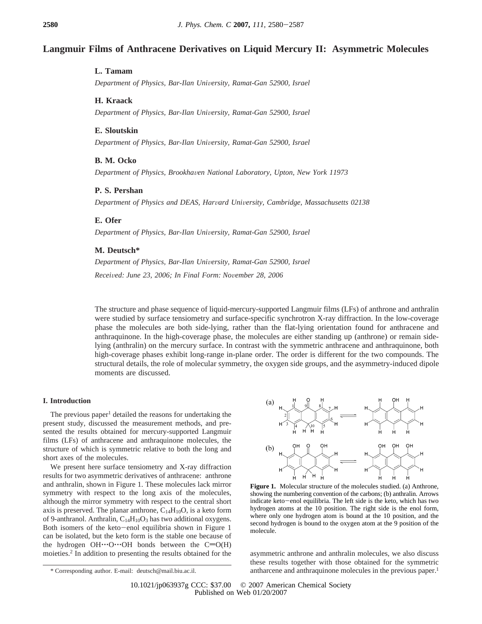# **Langmuir Films of Anthracene Derivatives on Liquid Mercury II: Asymmetric Molecules**

### **L. Tamam**

*Department of Physics, Bar-Ilan Uni*V*ersity, Ramat-Gan 52900, Israel*

# **H. Kraack**

*Department of Physics, Bar-Ilan Uni*V*ersity, Ramat-Gan 52900, Israel*

### **E. Sloutskin**

*Department of Physics, Bar-Ilan Uni*V*ersity, Ramat-Gan 52900, Israel*

# **B. M. Ocko**

*Department of Physics, Brookha*V*en National Laboratory, Upton, New York 11973*

# **P. S. Pershan**

*Department of Physics and DEAS, Harvard University, Cambridge, Massachusetts 02138* 

# **E. Ofer**

*Department of Physics, Bar-Ilan Uni*V*ersity, Ramat-Gan 52900, Israel*

## **M. Deutsch\***

*Department of Physics, Bar-Ilan Uni*V*ersity, Ramat-Gan 52900, Israel Recei*V*ed: June 23, 2006; In Final Form: No*V*ember 28, 2006*

The structure and phase sequence of liquid-mercury-supported Langmuir films (LFs) of anthrone and anthralin were studied by surface tensiometry and surface-specific synchrotron X-ray diffraction. In the low-coverage phase the molecules are both side-lying, rather than the flat-lying orientation found for anthracene and anthraquinone. In the high-coverage phase, the molecules are either standing up (anthrone) or remain sidelying (anthralin) on the mercury surface. In contrast with the symmetric anthracene and anthraquinone, both high-coverage phases exhibit long-range in-plane order. The order is different for the two compounds. The structural details, the role of molecular symmetry, the oxygen side groups, and the asymmetry-induced dipole moments are discussed.

#### **I. Introduction**

The previous paper<sup>1</sup> detailed the reasons for undertaking the present study, discussed the measurement methods, and presented the results obtained for mercury-supported Langmuir films (LFs) of anthracene and anthraquinone molecules, the structure of which is symmetric relative to both the long and short axes of the molecules.

We present here surface tensiometry and X-ray diffraction results for two asymmetric derivatives of anthracene: anthrone and anthralin, shown in Figure 1. These molecules lack mirror symmetry with respect to the long axis of the molecules, although the mirror symmetry with respect to the central short axis is preserved. The planar anthrone,  $C_{14}H_{10}O$ , is a keto form of 9-anthranol. Anthralin,  $C_{14}H_{10}O_3$  has two additional oxygens. Both isomers of the keto-enol equilibria shown in Figure 1 can be isolated, but the keto form is the stable one because of the hydrogen  $OH$ <sup>\*\*\*</sup>O<sup>\*\*\*</sup>OH bonds between the C=O(H) moieties.<sup>2</sup> In addition to presenting the results obtained for the asymmetric anthrone and anthralin molecules, we also discuss



**Figure 1.** Molecular structure of the molecules studied. (a) Anthrone, showing the numbering convention of the carbons; (b) anthralin. Arrows indicate keto-enol equilibria. The left side is the keto, which has two hydrogen atoms at the 10 position. The right side is the enol form, where only one hydrogen atom is bound at the 10 position, and the second hydrogen is bound to the oxygen atom at the 9 position of the molecule.

these results together with those obtained for the symmetric antharcene and anthraquinone molecules in the previous paper.1 \* Corresponding author. E-mail: deutsch@mail.biu.ac.il.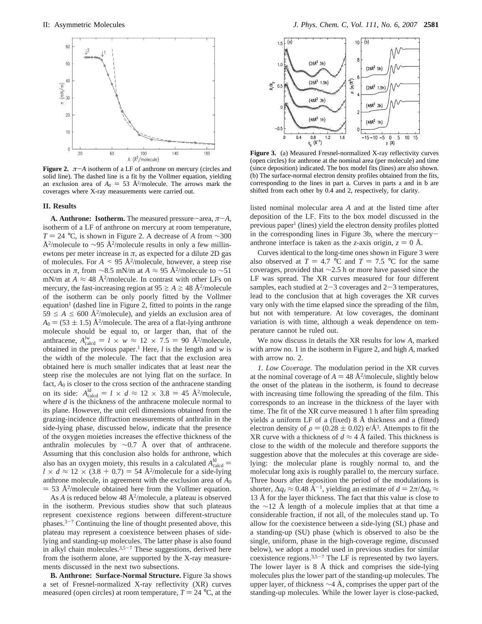

**Figure 2.**  $\pi$ -*A* isotherm of a LF of anthrone on mercury (circles and solid line). The dashed line is a fit by the Vollmer equation, yielding an exclusion area of  $A_0 = 53$   $\rm \AA^2/molecule$ . The arrows mark the coverages where X-ray measurements were carried out coverages where X-ray measurements were carried out.

#### **II. Results**

**A. Anthrone: Isotherm.** The measured pressure-area,  $\pi$ -*A*, isotherm of a LF of anthrone on mercury at room temperature,  $T = 24$  °C, is shown in Figure 2. A decrease of *A* from ∼300 Å<sup>2</sup>/molecule to ∼95 Å<sup>2</sup>/molecule results in only a few millinewtons per meter increase in  $\pi$ , as expected for a dilute 2D gas of molecules. For  $A \leq 95 \text{ Å}^2/\text{molecule}$ , however, a steep rise occurs in  $\pi$ , from ~8.5 mN/m at *A* ≈ 95 Å<sup>2</sup>/molecule to ~51 mN/m at  $A \approx 48 \text{ Å}^2$ /molecule. In contrast with other LFs on mercury, the fast-increasing region at  $95 \ge A \ge 48$  Å<sup>2</sup>/molecule of the isotherm can be only poorly fitted by the Vollmer equation<sup>1</sup> (dashed line in Figure 2, fitted to points in the range  $59 \le A \le 600$  Å<sup>2</sup>/molecule), and yields an exclusion area of  $A_0 = (53 \pm 1.5)$  Å<sup>2</sup>/molecule. The area of a flat-lying anthrone molecule should be equal to, or larger than, that of the anthracene,  $A_{\text{caled}}^{\text{lw}} = l \times w \approx 12 \times 7.5 = 90 \text{ Å}^2/\text{molecule}$ , obtained in the previous paper <sup>1</sup> Here *l* is the length and w is obtained in the previous paper.<sup>1</sup> Here, *l* is the length and *w* is the width of the molecule. The fact that the exclusion area obtained here is much smaller indicates that at least near the steep rise the molecules are not lying flat on the surface. In fact,  $A_0$  is closer to the cross section of the anthracene standing on its side:  $A_{\text{caled}}^{\text{ld}} = l \times d \approx 12 \times 3.8 = 45 \text{ Å}^2/\text{molecule}$ ,<br>where *d* is the thickness of the anthracene molecule normal to where *d* is the thickness of the anthracene molecule normal to its plane. However, the unit cell dimensions obtained from the grazing-incidence diffraction measurements of anthralin in the side-lying phase, discussed below, indicate that the presence of the oxygen moieties increases the effective thickness of the anthralin molecules by  $\sim$ 0.7 Å over that of anthracene. Assuming that this conclusion also holds for anthrone, which also has an oxygen moiety, this results in a calculated  $A_{\text{calcd}}^{\text{ld}}$  $l \times d \approx 12 \times (3.8 + 0.7) = 54 \text{ Å}^2/\text{molecule}$  for a side-lying<br>anthrone molecule in agreement with the exclusion area of A<sub>0</sub> anthrone molecule, in agreement with the exclusion area of *A*<sup>0</sup>  $=$  53 Å<sup>2</sup>/molecule obtained here from the Vollmer equation.

As *A* is reduced below 48  $\AA^2$ /molecule, a plateau is observed in the isotherm. Previous studies show that such plateaus represent coexistence regions between different-structure phases.3-<sup>7</sup> Continuing the line of thought presented above, this plateau may represent a coexistence between phases of sidelying and standing-up molecules. The latter phase is also found in alkyl chain molecules. $3.5-7$  These suggestions, derived here from the isotherm alone, are supported by the X-ray measurements discussed in the next two subsections.

**B. Anthrone: Surface-Normal Structure.** Figure 3a shows a set of Fresnel-normalized X-ray reflectivity (XR) curves measured (open circles) at room temperature,  $T = 24 \degree C$ , at the



**Figure 3.** (a) Measured Fresnel-normalized X-ray reflectivity curves (open circles) for anthrone at the nominal area (per molecule) and time (since deposition) indicated. The box model fits (lines) are also shown. (b) The surface-normal electron density profiles obtained from the fits, corresponding to the lines in part a. Curves in parts a and in b are shifted from each other by 0.4 and 2, respectively, for clarity.

listed nominal molecular area *A* and at the listed time after deposition of the LF. Fits to the box model discussed in the previous paper<sup>1</sup> (lines) yield the electron density profiles plotted in the corresponding lines in Figure 3b, where the mercuryanthrone interface is taken as the *z*-axis origin,  $z = 0$  Å.

Curves identical to the long-time ones shown in Figure 3 were also observed at  $T = 4.7$  °C and  $T = 7.5$  °C for the same coverages, provided that ∼2.5 h or more have passed since the LF was spread. The XR curves measured for four different samples, each studied at  $2-3$  coverages and  $2-3$  temperatures, lead to the conclusion that at high coverages the XR curves vary only with the time elapsed since the spreading of the film, but not with temperature. At low coverages, the dominant variation is with time, although a weak dependence on temperature cannot be ruled out.

We now discuss in details the XR results for low *A*, marked with arrow no. 1 in the isotherm in Figure 2, and high *A*, marked with arrow no. 2.

*1. Low Co*V*erage.* The modulation period in the XR curves at the nominal coverage of  $A = 48 \text{ Å}^2/\text{molecule}$ , slightly below the onset of the plateau in the isotherm, is found to decrease with increasing time following the spreading of the film. This corresponds to an increase in the thickness of the layer with time. The fit of the XR curve measured 1 h after film spreading yields a uniform LF of a (fixed) 8 Å thickness and a (fitted) electron density of  $\rho = (0.28 \pm 0.02) e/\text{\AA}^3$ . Attempts to fit the XR curve with a thickness of  $d \approx 4$  Å failed. This thickness is close to the width of the molecule and therefore supports the suggestion above that the molecules at this coverage are sidelying: the molecular plane is roughly normal to, and the molecular long axis is roughly parallel to, the mercury surface. Three hours after deposition the period of the modulations is shorter,  $\Delta q_z \approx 0.48 \text{ Å}^{-1}$ , yielding an estimate of  $d = 2\pi/\Delta q_z \approx$ 13 Å for the layer thickness. The fact that this value is close to the ∼12 Å length of a molecule implies that at that time a considerable fraction, if not all, of the molecules stand up. To allow for the coexistence between a side-lying (SL) phase and a standing-up (SU) phase (which is observed to also be the single, uniform, phase in the high-coverage regime, discussed below), we adopt a model used in previous studies for similar coexistence regions.3,5-<sup>7</sup> The LF is represented by two layers. The lower layer is  $8 \text{ Å}$  thick and comprises the side-lying molecules plus the lower part of the standing-up molecules. The upper layer, of thickness  $\sim$ 4 Å, comprises the upper part of the standing-up molecules. While the lower layer is close-packed,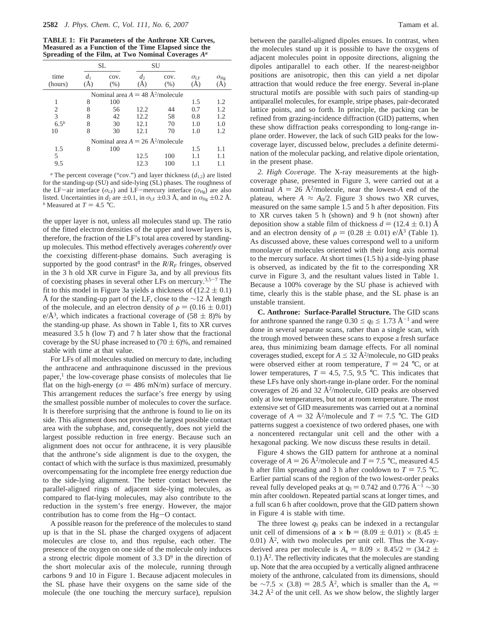**TABLE 1: Fit Parameters of the Anthrone XR Curves, Measured as a Function of the Time Elapsed since the Spreading of the Film, at Two Nominal Coverages** *Aa*

|                                                   | <b>SL</b>   |              | SU                    |              |                     |                   |
|---------------------------------------------------|-------------|--------------|-----------------------|--------------|---------------------|-------------------|
| time<br>(hours)                                   | $d_1$<br>A) | cov.<br>(% ) | d <sub>2</sub><br>(A) | cov.<br>(% ) | $\sigma_{LF}$<br>A) | $\sigma_{\rm Hg}$ |
| Nominal area $A = 48 \text{ Å}^2/\text{molecule}$ |             |              |                       |              |                     |                   |
| 1                                                 | 8           | 100          |                       |              | 1.5                 | 1.2               |
| 2                                                 | 8           | 56           | 12.2                  | 44           | 0.7                 | 1.2               |
| 3                                                 | 8           | 42           | 12.2                  | 58           | 0.8                 | 1.2               |
| 6.5 <sup>b</sup>                                  | 8           | 30           | 12.1                  | 70           | 1.0                 | 1.0               |
| 10                                                | 8           | 30           | 12.1                  | 70           | 1.0                 | 1.2               |
| Nominal area $A = 26 \text{ Å}^2/\text{molecule}$ |             |              |                       |              |                     |                   |
| 1.5                                               | 8           | 100          |                       |              | 1.5                 | 1.1               |
| 5                                                 |             |              | 12.5                  | 100          | 11                  | 1.1               |
| 9.5                                               |             |              | 12.3                  | 100          |                     |                   |

 $a$ <sup>n</sup> The percent coverage ("cov.") and layer thickness  $(d_{1,2})$  are listed for the standing-up (SU) and side-lying (SL) phases. The roughness of the LF-air interface ( $\sigma$ <sub>LF</sub>) and LF-mercury interface ( $\sigma$ <sub>Hg</sub>) are also listed. Uncertainties in *d*<sub>2</sub> are  $\pm$ 0.1, in  $\sigma$ <sub>LF</sub>  $\pm$ 0.3 Å, and in  $\sigma$ <sub>Hg</sub>  $\pm$ 0.2 Å. *b* Measured at *T* = 4.5 °C.

the upper layer is not, unless all molecules stand up. The ratio of the fitted electron densities of the upper and lower layers is, therefore, the fraction of the LF's total area covered by standingup molecules. This method effectively averages *coherently* over the coexisting different-phase domains. Such averaging is supported by the good contrast<sup>8</sup> in the  $R/R_F$  fringes, observed in the 3 h old XR curve in Figure 3a, and by all previous fits of coexisting phases in several other LFs on mercury.3,5-<sup>7</sup> The fit to this model in Figure 3a yields a thickness of  $(12.2 \pm 0.1)$ Å for the standing-up part of the LF, close to the  $\sim$ 12 Å length of the molecule, and an electron density of  $\rho = (0.16 \pm 0.01)$  $e/\AA^3$ , which indicates a fractional coverage of (58  $\pm$  8)% by the standing-up phase. As shown in Table 1, fits to XR curves measured 3.5 h (low *T*) and 7 h later show that the fractional coverage by the SU phase increased to  $(70 \pm 6)\%$ , and remained stable with time at that value.

For LFs of all molecules studied on mercury to date, including the anthracene and anthraquinone discussed in the previous paper, $<sup>1</sup>$  the low-coverage phase consists of molecules that lie</sup> flat on the high-energy ( $\sigma = 486$  mN/m) surface of mercury. This arrangement reduces the surface's free energy by using the smallest possible number of molecules to cover the surface. It is therefore surprising that the anthrone is found to lie on its side. This alignment does not provide the largest possible contact area with the subphase, and, consequently, does not yield the largest possible reduction in free energy. Because such an alignment does not occur for anthracene, it is very plausible that the anthrone's side alignment is due to the oxygen, the contact of which with the surface is thus maximized, presumably overcompensating for the incomplete free energy reduction due to the side-lying alignment. The better contact between the parallel-aligned rings of adjacent side-lying molecules, as compared to flat-lying molecules, may also contribute to the reduction in the system's free energy. However, the major contribution has to come from the Hg-O contact.

A possible reason for the preference of the molecules to stand up is that in the SL phase the charged oxygens of adjacent molecules are close to, and thus repulse, each other. The presence of the oxygen on one side of the molecule only induces a strong electric dipole moment of  $3.3 \text{ D}^9$  in the direction of the short molecular axis of the molecule, running through carbons 9 and 10 in Figure 1. Because adjacent molecules in the SL phase have their oxygens on the same side of the molecule (the one touching the mercury surface), repulsion

between the parallel-aligned dipoles ensues. In contrast, when the molecules stand up it is possible to have the oxygens of adjacent molecules point in opposite directions, aligning the dipoles antiparallel to each other. If the nearest-neighbor positions are anisotropic, then this can yield a net dipolar attraction that would reduce the free energy. Several in-plane structural motifs are possible with such pairs of standing-up antiparallel molecules, for example, stripe phases, pair-decorated lattice points, and so forth. In principle, the packing can be refined from grazing-incidence diffraction (GID) patterns, when these show diffraction peaks corresponding to long-range inplane order. However, the lack of such GID peaks for the lowcoverage layer, discussed below, precludes a definite determination of the molecular packing, and relative dipole orientation, in the present phase.

*2. High Co*V*erage.* The X-ray measurements at the highcoverage phase, presented in Figure 3, were carried out at a nominal  $A = 26$   $\AA^2$ /molecule, near the lowest-*A* end of the plateau, where  $A \approx A_0/2$ . Figure 3 shows two XR curves, measured on the same sample 1.5 and 5 h after deposition. Fits to XR curves taken 5 h (shown) and 9 h (not shown) after deposition show a stable film of thickness  $d = (12.4 \pm 0.1)$  Å and an electron density of  $\rho = (0.28 \pm 0.01) e/Å<sup>3</sup>$  (Table 1). As discussed above, these values correspond well to a uniform monolayer of molecules oriented with their long axis normal to the mercury surface. At short times (1.5 h) a side-lying phase is observed, as indicated by the fit to the corresponding XR curve in Figure 3, and the resultant values listed in Table 1. Because a 100% coverage by the SU phase is achieved with time, clearly this is the stable phase, and the SL phase is an unstable transient.

**C. Anthrone: Surface-Parallel Structure.** The GID scans for anthrone spanned the range  $0.30 \le q_{\parallel} \le 1.73 \text{ Å}^{-1}$  and were done in several separate scans, rather than a single scan, with the trough moved between these scans to expose a fresh surface area, thus minimizing beam damage effects. For all nominal coverages studied, except for  $A \leq 32 \text{ Å}^2/\text{molecule}$ , no GID peaks were observed either at room temperature,  $T = 24 \text{ }^{\circ}\text{C}$ , or at lower temperatures,  $T = 4.5, 7.5, 9.5$  °C. This indicates that these LFs have only short-range in-plane order. For the nominal coverages of 26 and 32  $\rm \AA^2/molecule, GID$  peaks are observed only at low temperatures, but not at room temperature. The most extensive set of GID measurements was carried out at a nominal coverage of  $A = 32$  Å<sup>2</sup>/molecule and  $T = 7.5$  °C. The GID patterns suggest a coexistence of two ordered phases, one with a noncentered rectangular unit cell and the other with a hexagonal packing. We now discuss these results in detail.

Figure 4 shows the GID pattern for anthrone at a nominal coverage of  $A = 26 \text{ Å}^2/\text{molecule}$  and  $T = 7.5 \text{ °C}$ , measured 4.5 h after film spreading and 3 h after cooldown to  $T = 7.5$  °C. Earlier partial scans of the region of the two lowest-order peaks reveal fully developed peaks at  $q_{\parallel} = 0.742$  and 0.776 Å<sup>-1</sup> ∼30 min after cooldown. Repeated partial scans at longer times, and a full scan 6 h after cooldown, prove that the GID pattern shown in Figure 4 is stable with time.

The three lowest  $q_{\parallel}$  peaks can be indexed in a rectangular unit cell of dimensions of  $\mathbf{a} \times \mathbf{b} = (8.09 \pm 0.01) \times (8.45 \pm 0.01)$ 0.01)  $\AA^2$ , with two molecules per unit cell. Thus the X-rayderived area per molecule is  $A_x = 8.09 \times 8.45/2 = (34.2 \pm 1)$ 0.1)  $\AA^2$ . The reflectivity indicates that the molecules are standing up. Note that the area occupied by a vertically aligned anthracene moiety of the anthrone, calculated from its dimensions, should be ∼7.5 × (3.8) = 28.5 Å<sup>2</sup>, which is smaller than the  $A_x$  = 34.2  $\AA$ <sup>2</sup> of the unit cell. As we show below, the slightly larger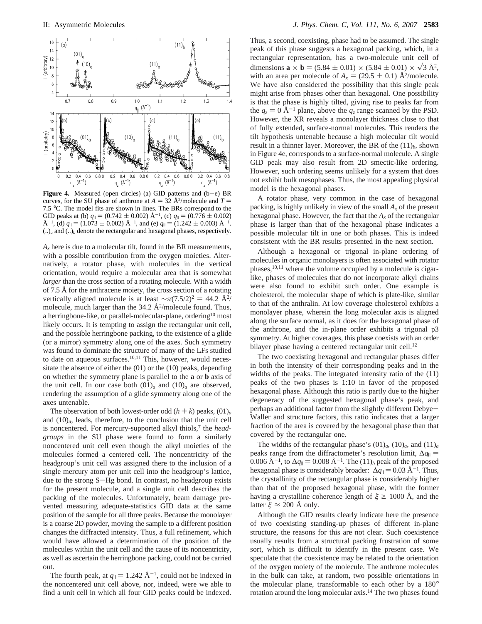

**Figure 4.** Measured (open circles) (a) GID patterns and  $(b-e)$  BR curves, for the SU phase of anthrone at  $A = 32 \text{ Å}^2/\text{molecule}$  and  $T = 7.5 \text{ °C}$ . The model fits are shown in lines. The BRs correspond to the 7.5 °C. The model fits are shown in lines. The BRs correspond to the GID peaks at (b)  $q_{\parallel} = (0.742 \pm 0.002) \text{ Å}^{-1}$ , (c)  $q_{\parallel} = (0.776 \pm 0.002) \text{ Å}^{-1}$  (d)  $q_{\parallel} = (1.073 + 0.002) \text{ Å}^{-1}$  and (e)  $q_{\parallel} = (1.242 + 0.003) \text{ Å}^{-1}$  $\AA^{-1}$ , (d)  $q_{\parallel} = (1.073 \pm 0.002) \,\text{\AA}^{-1}$ , and (e)  $q_{\parallel} = (1.242 \pm 0.003) \,\text{\AA}^{-1}$ .<br>( ), and ( ), denote the rectangular and hexagonal phases, respectively  $\langle .. \rangle_a$  and  $\langle .. \rangle_b$  denote the rectangular and hexagonal phases, respectively.

 $A_x$  here is due to a molecular tilt, found in the BR measurements, with a possible contribution from the oxygen moieties. Alternatively, a rotator phase, with molecules in the vertical orientation, would require a molecular area that is somewhat *larger* than the cross section of a rotating molecule. With a width of 7.5 Å for the anthracene moiety, the cross section of a rotating vertically aligned molecule is at least  $\sim \pi (7.5/2)^2 = 44.2 \text{ Å}^2$ / molecule, much larger than the  $34.2 \text{ Å}^2/\text{molecule}$  found. Thus, a herringbone-like, or parallel-molecular-plane, ordering<sup>10</sup> most likely occurs. It is tempting to assign the rectangular unit cell, and the possible herringbone packing, to the existence of a glide (or a mirror) symmetry along one of the axes. Such symmetry was found to dominate the structure of many of the LFs studied to date on aqueous surfaces.<sup>10,11</sup> This, however, would necessitate the absence of either the (01) or the (10) peaks, depending on whether the symmetry plane is parallel to the **a** or **b** axis of the unit cell. In our case both  $(01)<sub>a</sub>$  and  $(10)<sub>a</sub>$  are observed, rendering the assumption of a glide symmetry along one of the axes untenable.

The observation of both lowest-order odd  $(h + k)$  peaks,  $(01)<sub>a</sub>$ and (10)*a*, leads, therefore, to the conclusion that the unit cell is noncentered. For mercury-supported alkyl thiols,<sup>7</sup> the *headgroups* in the SU phase were found to form a similarly noncentered unit cell even though the alkyl moieties of the molecules formed a centered cell. The noncentricity of the headgroup's unit cell was assigned there to the inclusion of a single mercury atom per unit cell into the headgroup's lattice, due to the strong S-Hg bond. In contrast, no headgroup exists for the present molecule, and a single unit cell describes the packing of the molecules. Unfortunately, beam damage prevented measuring adequate-statistics GID data at the same position of the sample for all three peaks. Because the monolayer is a coarse 2D powder, moving the sample to a different position changes the diffracted intensity. Thus, a full refinement, which would have allowed a determination of the position of the molecules within the unit cell and the cause of its noncentricity, as well as ascertain the herringbone packing, could not be carried out.

The fourth peak, at  $q_{\parallel} = 1.242 \text{ Å}^{-1}$ , could not be indexed in the noncentered unit cell above, nor, indeed, were we able to find a unit cell in which all four GID peaks could be indexed.

Thus, a second, coexisting, phase had to be assumed. The single peak of this phase suggests a hexagonal packing, which, in a rectangular representation, has a two-molecule unit cell of dimensions  $\mathbf{a} \times \mathbf{b} = (5.84 \pm 0.01) \times (5.84 \pm 0.01) \times \sqrt{3} \, \mathring{A}^2$ , with an area per molecule of  $A_x = (29.5 \pm 0.1)$  Å<sup>2</sup>/molecule. We have also considered the possibility that this single peak might arise from phases other than hexagonal. One possibility is that the phase is highly tilted, giving rise to peaks far from the  $q_z = 0$  Å<sup>-1</sup> plane, above the  $q_z$  range scanned by the PSD. However, the XR reveals a monolayer thickness close to that of fully extended, surface-normal molecules. This renders the tilt hypothesis untenable because a high molecular tilt would result in a thinner layer. Moreover, the BR of the  $(11)<sub>b</sub>$ , shown in Figure 4e, corresponds to a surface-normal molecule. A single GID peak may also result from 2D smectic-like ordering. However, such ordering seems unlikely for a system that does not exhibit bulk mesophases. Thus, the most appealing physical model is the hexagonal phases.

A rotator phase, very common in the case of hexagonal packing, is highly unlikely in view of the small  $A<sub>x</sub>$  of the present hexagonal phase. However, the fact that the  $A_x$  of the rectangular phase is larger than that of the hexagonal phase indicates a possible molecular tilt in one or both phases. This is indeed consistent with the BR results presented in the next section.

Although a hexagonal or trigonal in-plane ordering of molecules in organic monolayers is often associated with rotator phases, $10,11$  where the volume occupied by a molecule is cigarlike, phases of molecules that do not incorporate alkyl chains were also found to exhibit such order. One example is cholesterol, the molecular shape of which is plate-like, similar to that of the anthralin. At low coverage cholesterol exhibits a monolayer phase, wherein the long molecular axis is aligned along the surface normal, as it does for the hexagonal phase of the anthrone, and the in-plane order exhibits a trigonal p3 symmetry. At higher coverages, this phase coexists with an order bilayer phase having a centered rectangular unit cell.<sup>12</sup>

The two coexisting hexagonal and rectangular phases differ in both the intensity of their corresponding peaks and in the widths of the peaks. The integrated intensity ratio of the (11) peaks of the two phases is 1:10 in favor of the proposed hexagonal phase. Although this ratio is partly due to the higher degeneracy of the suggested hexagonal phase's peak, and perhaps an additional factor from the slightly different Debye-Waller and structure factors, this ratio indicates that a larger fraction of the area is covered by the hexagonal phase than that covered by the rectangular one.

The widths of the rectangular phase's  $(01)<sub>a</sub>$ ,  $(10)<sub>a</sub>$ , and  $(11)<sub>a</sub>$ peaks range from the diffractometer's resolution limit,  $\Delta q_{\parallel} =$ 0.006 Å<sup>-1</sup>, to  $\Delta q_{\parallel} = 0.008$  Å<sup>-1</sup>. The (11)<sub>*b*</sub> peak of the proposed hexagonal phase is considerably broader:  $\Delta q_{\parallel} = 0.03 \text{ Å}^{-1}$ . Thus, the crystallinity of the rectangular phase is considerably higher than that of the proposed hexagonal phase, with the former having a crystalline coherence length of  $\xi \ge 1000$  Å, and the latter  $\xi \approx 200$  Å only.

Although the GID results clearly indicate here the presence of two coexisting standing-up phases of different in-plane structure, the reasons for this are not clear. Such coexistence usually results from a structural packing frustration of some sort, which is difficult to identify in the present case. We speculate that the coexistence may be related to the orientation of the oxygen moiety of the molecule. The anthrone molecules in the bulk can take, at random, two possible orientations in the molecular plane, transformable to each other by a 180° rotation around the long molecular axis.<sup>14</sup> The two phases found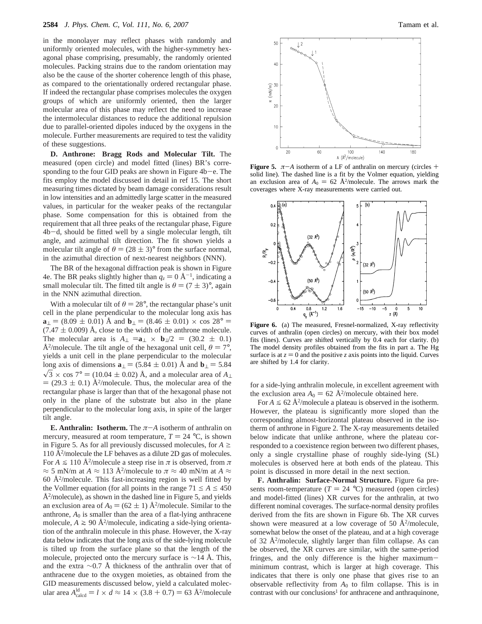in the monolayer may reflect phases with randomly and uniformly oriented molecules, with the higher-symmetry hexagonal phase comprising, presumably, the randomly oriented molecules. Packing strains due to the random orientation may also be the cause of the shorter coherence length of this phase, as compared to the orientationally ordered rectangular phase. If indeed the rectangular phase comprises molecules the oxygen groups of which are uniformly oriented, then the larger molecular area of this phase may reflect the need to increase the intermolecular distances to reduce the additional repulsion due to parallel-oriented dipoles induced by the oxygens in the molecule. Further measurements are required to test the validity of these suggestions.

**D. Anthrone: Bragg Rods and Molecular Tilt.** The measured (open circle) and model fitted (lines) BR's corresponding to the four GID peaks are shown in Figure 4b-e. The fits employ the model discussed in detail in ref 15. The short measuring times dictated by beam damage considerations result in low intensities and an admittedly large scatter in the measured values, in particular for the weaker peaks of the rectangular phase. Some compensation for this is obtained from the requirement that all three peaks of the rectangular phase, Figure 4b-d, should be fitted well by a single molecular length, tilt angle, and azimuthal tilt direction. The fit shown yields a molecular tilt angle of  $\theta = (28 \pm 3)$ ° from the surface normal, in the azimuthal direction of next-nearest neighbors (NNN).

The BR of the hexagonal diffraction peak is shown in Figure 4e. The BR peaks slightly higher than  $q_z = 0$  Å<sup>-1</sup>, indicating a small molecular tilt. The fitted tilt angle is  $\theta = (7 \pm 3)^\circ$ , again in the NNN azimuthal direction.

With a molecular tilt of  $\theta = 28^{\circ}$ , the rectangular phase's unit cell in the plane perpendicular to the molecular long axis has  $\mathbf{a}_{\perp} = (8.09 \pm 0.01)$  Å and  $\mathbf{b}_{\perp} = (8.46 \pm 0.01) \times \cos 28^{\circ} =$  $(7.47 \pm 0.009)$  Å, close to the width of the anthrone molecule. The molecular area is  $A_{\perp} = a_{\perp} \times b_{\perp}/2 = (30.2 \pm 0.1)$ Å<sup>2</sup>/molecule. The tilt angle of the hexagonal unit cell,  $\theta = 7^{\circ}$ , yields a unit cell in the plane perpendicular to the molecular long axis of dimensions  $\mathbf{a}_{\perp} = (5.84 \pm 0.01)$  Å and  $\mathbf{b}_{\perp} = 5.84$  $\sqrt{3} \times \cos 7^\circ = (10.04 \pm 0.02)$  Å, and a molecular area of *A*⊥  $=$  (29.3  $\pm$  0.1) Å<sup>2</sup>/molecule. Thus, the molecular area of the rectangular phase is larger than that of the hexagonal phase not only in the plane of the substrate but also in the plane perpendicular to the molecular long axis, in spite of the larger tilt angle.

**E. Anthralin:** Isotherm. The  $\pi$ -*A* isotherm of anthralin on mercury, measured at room temperature,  $T = 24 \degree C$ , is shown in Figure 5. As for all previously discussed molecules, for  $A \geq$ 110 Å2/molecule the LF behaves as a dilute 2D gas of molecules. For  $A \le 110$  Å<sup>2</sup>/molecule a steep rise in  $\pi$  is observed, from  $\pi$  $\approx$  5 mN/m at *A*  $\approx$  113 Å<sup>2</sup>/molecule to  $\pi \approx$  40 mN/m at *A*  $\approx$ 60  $A<sup>2</sup>/molecule$ . This fast-increasing region is well fitted by the Vollmer equation (for all points in the range  $71 \le A \le 450$  $A<sup>2</sup>/molecule)$ , as shown in the dashed line in Figure 5, and yields an exclusion area of  $A_0 = (62 \pm 1)$  Å<sup>2</sup>/molecule. Similar to the anthrone,  $A_0$  is smaller than the area of a flat-lying anthracene molecule,  $A \ge 90 \text{ Å}^2/\text{molecule}$ , indicating a side-lying orientation of the anthralin molecule in this phase. However, the X-ray data below indicates that the long axis of the side-lying molecule is tilted up from the surface plane so that the length of the molecule, projected onto the mercury surface is  $\sim$ 14 Å. This, and the extra ∼0.7 Å thickness of the anthralin over that of anthracene due to the oxygen moieties, as obtained from the GID measurements discussed below, yield a calculated molecular area  $A_{\text{calcd}}^{\text{ld}} = l \times d \approx 14 \times (3.8 + 0.7) = 63 \text{ Å}^2/\text{molecule}$ 



**Figure 5.**  $\pi$ -*A* isotherm of a LF of anthralin on mercury (circles + solid line). The dashed line is a fit by the Volmer equation, yielding an exclusion area of  $A_0 = 62 \text{ Å}^2/\text{molecule}$ . The arrows mark the coverages where X-ray measurements were carried out coverages where X-ray measurements were carried out.



Figure 6. (a) The measured, Fresnel-normalized, X-ray reflectivity curves of anthralin (open circles) on mercury, with their box model fits (lines). Curves are shifted vertically by 0.4 each for clarity. (b) The model density profiles obtained from the fits in part a. The Hg surface is at  $z = 0$  and the positive *z* axis points into the liquid. Curves are shifted by 1.4 for clarity.

for a side-lying anthralin molecule, in excellent agreement with the exclusion area  $A_0 = 62 \text{ Å}^2/\text{molecule}$  obtained here.

For  $A \le 62$  Å<sup>2</sup>/molecule a plateau is observed in the isotherm. However, the plateau is significantly more sloped than the corresponding almost-horizontal plateau observed in the isotherm of anthrone in Figure 2. The X-ray measurements detailed below indicate that unlike anthrone, where the plateau corresponded to a coexistence region between two different phases, only a single crystalline phase of roughly side-lying (SL) molecules is observed here at both ends of the plateau. This point is discussed in more detail in the next section.

**F. Anthralin: Surface-Normal Structure.** Figure 6a presents room-temperature ( $T = 24$  °C) measured (open circles) and model-fitted (lines) XR curves for the anthralin, at two different nominal coverages. The surface-normal density profiles derived from the fits are shown in Figure 6b. The XR curves shown were measured at a low coverage of 50  $\rm \AA^2/molecule,$ somewhat below the onset of the plateau, and at a high coverage of 32  $\AA^2$ /molecule, slightly larger than film collapse. As can be observed, the XR curves are similar, with the same-period fringes, and the only difference is the higher maximumminimum contrast, which is larger at high coverage. This indicates that there is only one phase that gives rise to an observable reflectivity from  $A_0$  to film collapse. This is in contrast with our conclusions<sup>1</sup> for anthracene and anthraquinone,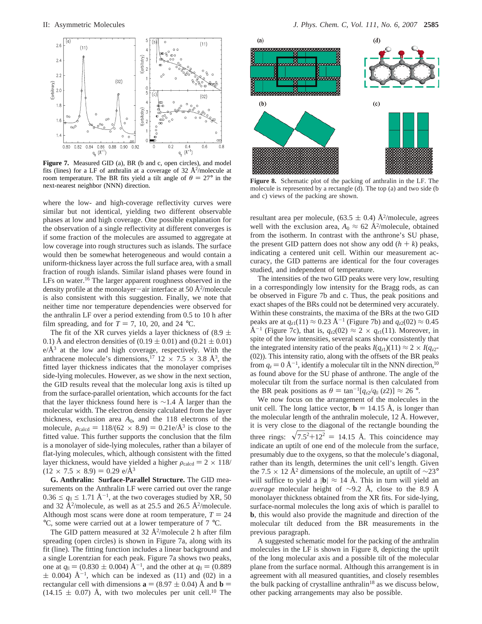

**Figure 7.** Measured GID (a), BR (b and c, open circles), and model fits (lines) for a LF of anthralin at a coverage of  $32 \text{ Å}^2/\text{molecule}$  at room temperature. The BR fits yield a tilt angle of  $\theta = 27^{\circ}$  in the next-nearest neighbor (NNN) direction.

where the low- and high-coverage reflectivity curves were similar but not identical, yielding two different observable phases at low and high coverage. One possible explanation for the observation of a single reflectivity at different converges is if some fraction of the molecules are assumed to aggregate at low coverage into rough structures such as islands. The surface would then be somewhat heterogeneous and would contain a uniform-thickness layer across the full surface area, with a small fraction of rough islands. Similar island phases were found in LFs on water.<sup>16</sup> The larger apparent roughness observed in the density profile at the monolayer-air interface at 50  $\AA^2$ /molecule is also consistent with this suggestion. Finally, we note that neither time nor temperature dependencies were observed for the anthralin LF over a period extending from 0.5 to 10 h after film spreading, and for  $T = 7$ , 10, 20, and 24 °C.

The fit of the XR curves yields a layer thickness of  $(8.9 \pm 1.00)$ 0.1) Å and electron densities of  $(0.19 \pm 0.01)$  and  $(0.21 \pm 0.01)$  $e/\text{\AA}^3$  at the low and high coverage, respectively. With the anthracene molecule's dimensions,<sup>17</sup>  $12 \times 7.5 \times 3.8$  Å<sup>3</sup>, the fitted layer thickness indicates that the monolayer comprises side-lying molecules. However, as we show in the next section, the GID results reveal that the molecular long axis is tilted up from the surface-parallel orientation, which accounts for the fact that the layer thickness found here is  $\sim$ 1.4 Å larger than the molecular width. The electron density calculated from the layer thickness, exclusion area  $A_0$ , and the 118 electrons of the molecule,  $\rho_{\text{calcd}} = 118/(62 \times 8.9) = 0.21e/\text{\AA}^3$  is close to the fitted value. This further supports the conclusion that the film is a monolayer of side-lying molecules, rather than a bilayer of flat-lying molecules, which, although consistent with the fitted layer thickness, would have yielded a higher  $\rho_{\text{calcd}} = 2 \times 118/$  $(12 \times 7.5 \times 8.9) = 0.29 \text{ e}/\text{\AA}^3$ 

**G. Anthralin: Surface-Parallel Structure.** The GID measurements on the Anthralin LF were carried out over the range  $0.36 \le q_{\parallel} \le 1.71 \text{ Å}^{-1}$ , at the two coverages studied by XR, 50 and 32 Å<sup>2</sup>/molecule, as well as at 25.5 and 26.5 Å<sup>2</sup>/molecule. Although most scans were done at room temperature,  $T = 24$ °C, some were carried out at a lower temperature of 7 °C.

The GID pattern measured at 32  $\AA^2$ /molecule 2 h after film spreading (open circles) is shown in Figure 7a, along with its fit (line). The fitting function includes a linear background and a single Lorentzian for each peak. Figure 7a shows two peaks, one at  $q_{\parallel} = (0.830 \pm 0.004) \text{ Å}^{-1}$ , and the other at  $q_{\parallel} = (0.889$  $\pm$  0.004) Å<sup>-1</sup>, which can be indexed as (11) and (02) in a rectangular cell with dimensions  $\mathbf{a} = (8.97 \pm 0.04)$  Å and  $\mathbf{b} =$  $(14.15 \pm 0.07)$  Å, with two molecules per unit cell.<sup>10</sup> The



Figure 8. Schematic plot of the packing of anthralin in the LF. The molecule is represented by a rectangle (d). The top (a) and two side (b and c) views of the packing are shown.

resultant area per molecule, (63.5  $\pm$  0.4) Å<sup>2</sup>/molecule, agrees well with the exclusion area,  $A_0 \approx 62 \text{ Å}^2/\text{molecule}$ , obtained from the isotherm. In contrast with the anthrone's SU phase, the present GID pattern does not show any odd  $(h + k)$  peaks, indicating a centered unit cell. Within our measurement accuracy, the GID patterns are identical for the four coverages studied, and independent of temperature.

The intensities of the two GID peaks were very low, resulting in a correspondingly low intensity for the Bragg rods, as can be observed in Figure 7b and c. Thus, the peak positions and exact shapes of the BRs could not be determined very accurately. Within these constraints, the maxima of the BRs at the two GID peaks are at  $q_{z1}(11) \approx 0.23 \text{ Å}^{-1}$  (Figure 7b) and  $q_{z2}(02) \approx 0.45$ Å<sup>-1</sup> (Figure 7c), that is,  $q_{z2}(02) \approx 2 \times q_{z1}(11)$ . Moreover, in spite of the low intensities, several scans show consistently that the integrated intensity ratio of the peaks  $I(q_{z1})(11) \approx 2 \times I(q_{z2})$ (02)). This intensity ratio, along with the offsets of the BR peaks from  $q_z = 0 \text{ Å}^{-1}$ , identify a molecular tilt in the NNN direction,<sup>10</sup> as found above for the SU phase of anthrone. The angle of the molecular tilt from the surface normal is then calculated from the BR peak positions as  $\theta = \tan^{-1}[q_{z2}/q_{\parallel}(z^2)] \approx 26$ °.

We now focus on the arrangement of the molecules in the unit cell. The long lattice vector,  $\mathbf{b} = 14.15 \text{ Å}$ , is longer than the molecular length of the anthralin molecule, 12 Å. However, it is very close to the diagonal of the rectangle bounding the three rings:  $\sqrt{7.5^2 + 12^2} = 14.15$  Å. This coincidence may indicate an until of one end of the molecule from the surface indicate an uptilt of one end of the molecule from the surface, presumably due to the oxygens, so that the molecule's diagonal, rather than its length, determines the unit cell's length. Given the 7.5  $\times$  12 Å<sup>2</sup> dimensions of the molecule, an uptilt of  $\sim$ 23° will suffice to yield a  $|\mathbf{b}| \approx 14$  Å. This in turn will yield an *<sup>a</sup>*V*erage* molecular height of <sup>∼</sup>9.2 Å, close to the 8.9 Å monolayer thickness obtained from the XR fits. For side-lying, surface-normal molecules the long axis of which is parallel to **b**, this would also provide the magnitude and direction of the molecular tilt deduced from the BR measurements in the previous paragraph.

A suggested schematic model for the packing of the anthralin molecules in the LF is shown in Figure 8, depicting the uptilt of the long molecular axis and a possible tilt of the molecular plane from the surface normal. Although this arrangement is in agreement with all measured quantities, and closely resembles the bulk packing of crystalline anthralin<sup>18</sup> as we discuss below, other packing arrangements may also be possible.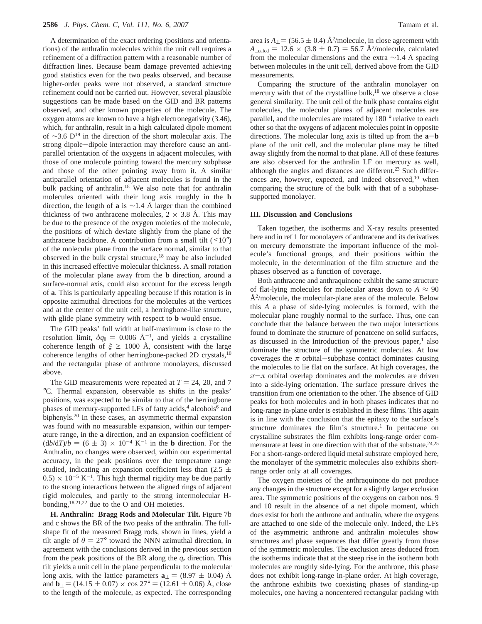A determination of the exact ordering (positions and orientations) of the anthralin molecules within the unit cell requires a refinement of a diffraction pattern with a reasonable number of diffraction lines. Because beam damage prevented achieving good statistics even for the two peaks observed, and because higher-order peaks were not observed, a standard structure refinement could not be carried out. However, several plausible suggestions can be made based on the GID and BR patterns observed, and other known properties of the molecule. The oxygen atoms are known to have a high electronegativity (3.46), which, for anthralin, result in a high calculated dipole moment of ∼3.6 D<sup>19</sup> in the direction of the short molecular axis. The strong dipole-dipole interaction may therefore cause an antiparallel orientation of the oxygens in adjacent molecules, with those of one molecule pointing toward the mercury subphase and those of the other pointing away from it. A similar antiparallel orientation of adjacent molecules is found in the bulk packing of anthralin.<sup>18</sup> We also note that for anthralin molecules oriented with their long axis roughly in the **b** direction, the length of **a** is ∼1.4 Å larger than the combined thickness of two anthracene molecules,  $2 \times 3.8$  Å. This may be due to the presence of the oxygen moieties of the molecule, the positions of which deviate slightly from the plane of the anthracene backbone. A contribution from a small tilt  $(10^{\circ})$ of the molecular plane from the surface normal, similar to that observed in the bulk crystal structure,18 may be also included in this increased effective molecular thickness. A small rotation of the molecular plane away from the **b** direction, around a surface-normal axis, could also account for the excess length of **a**. This is particularly appealing because if this rotation is in opposite azimuthal directions for the molecules at the vertices and at the center of the unit cell, a herringbone-like structure, with glide plane symmetry with respect to **b** would ensue.

The GID peaks' full width at half-maximum is close to the resolution limit,  $\delta q_{\parallel} = 0.006 \text{ Å}^{-1}$ , and yields a crystalline coherence length of  $\xi \ge 1000$  Å, consistent with the large coherence lengths of other herringbone-packed 2D crystals,<sup>10</sup> and the rectangular phase of anthrone monolayers, discussed above.

The GID measurements were repeated at  $T = 24$ , 20, and 7 °C. Thermal expansion, observable as shifts in the peaks' positions, was expected to be similar to that of the herringbone phases of mercury-supported LFs of fatty acids,<sup>4</sup> alcohols<sup>6</sup> and biphenyls.<sup>20</sup> In these cases, an asymmetric thermal expansion was found with no measurable expansion, within our temperature range, in the **a** direction, and an expansion coefficient of  $(db/dT)/b = (6 \pm 3) \times 10^{-4} \text{ K}^{-1}$  in the **b** direction. For the Anthralin, no changes were observed, within our experimental accuracy, in the peak positions over the temperature range studied, indicating an expansion coefficient less than (2.5  $\pm$  $(0.5) \times 10^{-5}$  K<sup>-1</sup>. This high thermal rigidity may be due partly to the strong interactions between the aligned rings of adjacent rigid molecules, and partly to the strong intermolecular Hbonding,18,21,22 due to the O and OH moieties.

**H. Anthralin: Bragg Rods and Molecular Tilt.** Figure 7b and c shows the BR of the two peaks of the anthralin. The fullshape fit of the measured Bragg rods, shown in lines, yield a tilt angle of  $\theta = 27^{\circ}$  toward the NNN azimuthal direction, in agreement with the conclusions derived in the previous section from the peak positions of the BR along the  $q<sub>z</sub>$  direction. This tilt yields a unit cell in the plane perpendicular to the molecular long axis, with the lattice parameters  $\mathbf{a}_{\perp} = (8.97 \pm 0.04)$  Å and  $\mathbf{b}_{\perp} = (14.15 \pm 0.07) \times \cos 27^{\circ} = (12.61 \pm 0.06) \text{ Å}$ , close to the length of the molecule, as expected. The corresponding

area is  $A_{\perp}$  = (56.5  $\pm$  0.4) Å<sup>2</sup>/molecule, in close agreement with  $A_{\text{Lcaled}} = 12.6 \times (3.8 + 0.7) = 56.7 \text{ Å}^2/\text{molecule, calculated}$ from the molecular dimensions and the extra  $\sim$ 1.4 Å spacing between molecules in the unit cell, derived above from the GID measurements.

Comparing the structure of the anthralin monolayer on mercury with that of the crystalline bulk, $18$  we observe a close general similarity. The unit cell of the bulk phase contains eight molecules, the molecular planes of adjacent molecules are parallel, and the molecules are rotated by 180 ° relative to each other so that the oxygens of adjacent molecules point in opposite directions. The molecular long axis is tilted up from the  $a-b$ plane of the unit cell, and the molecular plane may be tilted away slightly from the normal to that plane. All of these features are also observed for the anthralin LF on mercury as well, although the angles and distances are different.<sup>23</sup> Such differences are, however, expected, and indeed observed,<sup>10</sup> when comparing the structure of the bulk with that of a subphasesupported monolayer.

### **III. Discussion and Conclusions**

Taken together, the isotherms and X-ray results presented here and in ref 1 for monolayers of anthracene and its derivatives on mercury demonstrate the important influence of the molecule's functional groups, and their positions within the molecule, in the determination of the film structure and the phases observed as a function of coverage.

Both anthracene and anthraquinone exhibit the same structure of flat-lying molecules for molecular areas down to  $A \approx 90$  $\AA^2$ /molecule, the molecular-plane area of the molecule. Below this *A* a phase of side-lying molecules is formed, with the molecular plane roughly normal to the surface. Thus, one can conclude that the balance between the two major interactions found to dominate the structure of penatcene on solid surfaces, as discussed in the Introduction of the previous paper.<sup>1</sup> also dominate the structure of the symmetric molecules. At low coverages the  $\pi$  orbital-subphase contact dominates causing the molecules to lie flat on the surface. At high coverages, the  $\pi-\pi$  orbital overlap dominates and the molecules are driven into a side-lying orientation. The surface pressure drives the transition from one orientation to the other. The absence of GID peaks for both molecules and in both phases indicates that no long-range in-plane order is established in these films. This again is in line with the conclusion that the epitaxy to the surface's structure dominates the film's structure.<sup>1</sup> In pentacene on crystalline substrates the film exhibits long-range order commensurate at least in one direction with that of the substrate.<sup>24,25</sup> For a short-range-ordered liquid metal substrate employed here, the monolayer of the symmetric molecules also exhibits shortrange order only at all coverages.

The oxygen moieties of the anthraquinone do not produce any changes in the structure except for a slightly larger exclusion area. The symmetric positions of the oxygens on carbon nos. 9 and 10 result in the absence of a net dipole moment, which does exist for both the anthrone and anthralin, where the oxygens are attached to one side of the molecule only. Indeed, the LFs of the asymmetric anthrone and anthralin molecules show structures and phase sequences that differ greatly from those of the symmetric molecules. The exclusion areas deduced from the isotherms indicate that at the steep rise in the isotherm both molecules are roughly side-lying. For the anthrone, this phase does not exhibit long-range in-plane order. At high coverage, the anthrone exhibits two coexisting phases of standing-up molecules, one having a noncentered rectangular packing with